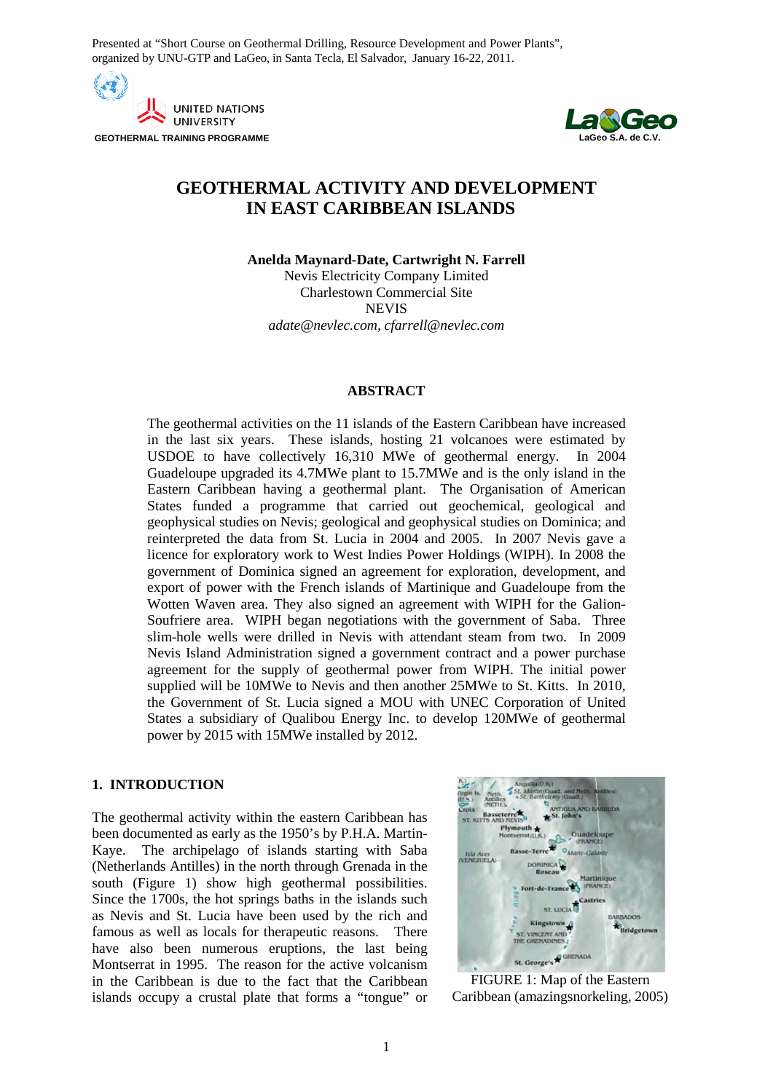Presented at "Short Course on Geothermal Drilling, Resource Development and Power Plants", organized by UNU-GTP and LaGeo, in Santa Tecla, El Salvador, January 16-22, 2011.

**AND UNITED NATIONS UNIVERSITY GEOTHERMAL TRAINING PROGRAMME** 



# **GEOTHERMAL ACTIVITY AND DEVELOPMENT IN EAST CARIBBEAN ISLANDS**

**Anelda Maynard-Date, Cartwright N. Farrell** Nevis Electricity Company Limited Charlestown Commercial Site NEVIS

*adate@nevlec.com, cfarrell@nevlec.com* 

### **ABSTRACT**

The geothermal activities on the 11 islands of the Eastern Caribbean have increased in the last six years. These islands, hosting 21 volcanoes were estimated by USDOE to have collectively 16,310 MWe of geothermal energy. In 2004 Guadeloupe upgraded its 4.7MWe plant to 15.7MWe and is the only island in the Eastern Caribbean having a geothermal plant. The Organisation of American States funded a programme that carried out geochemical, geological and geophysical studies on Nevis; geological and geophysical studies on Dominica; and reinterpreted the data from St. Lucia in 2004 and 2005. In 2007 Nevis gave a licence for exploratory work to West Indies Power Holdings (WIPH). In 2008 the government of Dominica signed an agreement for exploration, development, and export of power with the French islands of Martinique and Guadeloupe from the Wotten Waven area. They also signed an agreement with WIPH for the Galion-Soufriere area. WIPH began negotiations with the government of Saba. Three slim-hole wells were drilled in Nevis with attendant steam from two. In 2009 Nevis Island Administration signed a government contract and a power purchase agreement for the supply of geothermal power from WIPH. The initial power supplied will be 10MWe to Nevis and then another 25MWe to St. Kitts. In 2010, the Government of St. Lucia signed a MOU with UNEC Corporation of United States a subsidiary of Qualibou Energy Inc. to develop 120MWe of geothermal power by 2015 with 15MWe installed by 2012.

# **1. INTRODUCTION**

The geothermal activity within the eastern Caribbean has been documented as early as the 1950's by P.H.A. Martin-Kaye. The archipelago of islands starting with Saba (Netherlands Antilles) in the north through Grenada in the south (Figure 1) show high geothermal possibilities. Since the 1700s, the hot springs baths in the islands such as Nevis and St. Lucia have been used by the rich and famous as well as locals for therapeutic reasons. There have also been numerous eruptions, the last being Montserrat in 1995. The reason for the active volcanism in the Caribbean is due to the fact that the Caribbean islands occupy a crustal plate that forms a "tongue" or



FIGURE 1: Map of the Eastern Caribbean (amazingsnorkeling, 2005)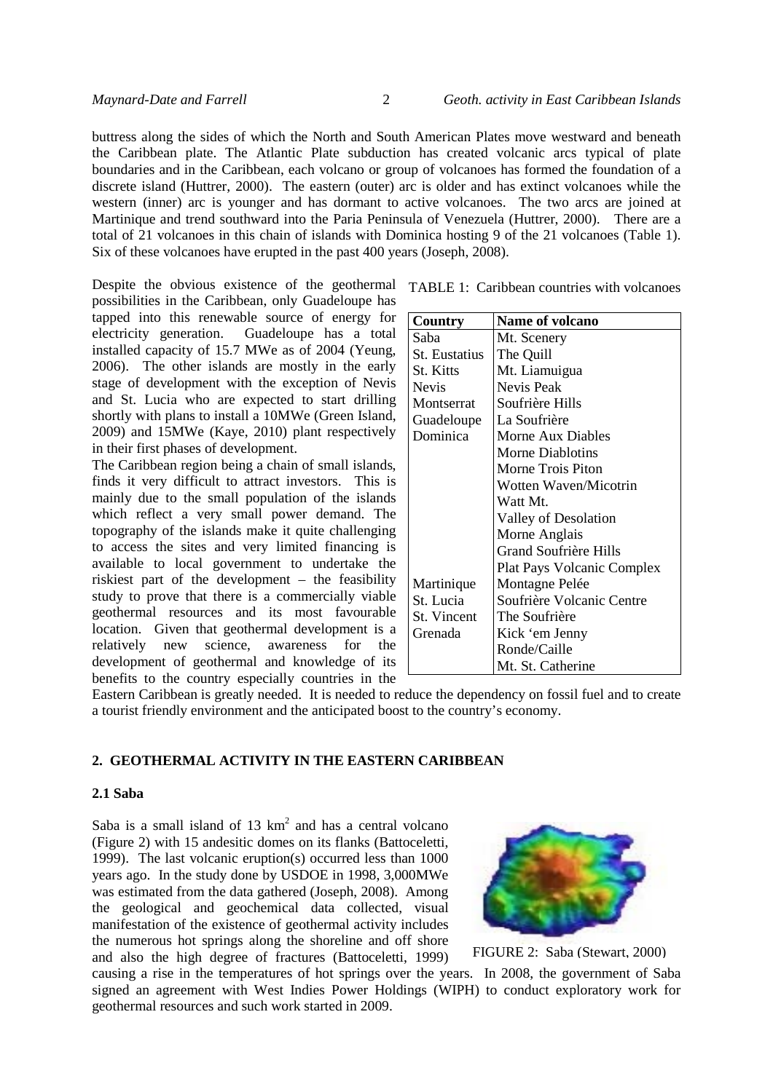buttress along the sides of which the North and South American Plates move westward and beneath the Caribbean plate. The Atlantic Plate subduction has created volcanic arcs typical of plate boundaries and in the Caribbean, each volcano or group of volcanoes has formed the foundation of a discrete island (Huttrer, 2000). The eastern (outer) arc is older and has extinct volcanoes while the western (inner) arc is younger and has dormant to active volcanoes. The two arcs are joined at Martinique and trend southward into the Paria Peninsula of Venezuela (Huttrer, 2000). There are a total of 21 volcanoes in this chain of islands with Dominica hosting 9 of the 21 volcanoes (Table 1). Six of these volcanoes have erupted in the past 400 years (Joseph, 2008).

Despite the obvious existence of the geothermal TABLE 1: Caribbean countries with volcanoes possibilities in the Caribbean, only Guadeloupe has tapped into this renewable source of energy for electricity generation. Guadeloupe has a total installed capacity of 15.7 MWe as of 2004 (Yeung, 2006). The other islands are mostly in the early stage of development with the exception of Nevis and St. Lucia who are expected to start drilling shortly with plans to install a 10MWe (Green Island, 2009) and 15MWe (Kaye, 2010) plant respectively in their first phases of development.

The Caribbean region being a chain of small islands, finds it very difficult to attract investors. This is mainly due to the small population of the islands which reflect a very small power demand. The topography of the islands make it quite challenging to access the sites and very limited financing is available to local government to undertake the riskiest part of the development – the feasibility study to prove that there is a commercially viable geothermal resources and its most favourable location. Given that geothermal development is a relatively new science, awareness for the development of geothermal and knowledge of its benefits to the country especially countries in the

| Country          | <b>Name of volcano</b>            |  |  |  |  |  |
|------------------|-----------------------------------|--|--|--|--|--|
| Saba             | Mt. Scenery                       |  |  |  |  |  |
| St. Eustatius    | The Quill                         |  |  |  |  |  |
| <b>St. Kitts</b> | Mt. Liamuigua                     |  |  |  |  |  |
| <b>Nevis</b>     | Nevis Peak                        |  |  |  |  |  |
| Montserrat       | Soufrière Hills                   |  |  |  |  |  |
| Guadeloupe       | La Soufrière                      |  |  |  |  |  |
| Dominica         | Morne Aux Diables                 |  |  |  |  |  |
|                  | Morne Diablotins                  |  |  |  |  |  |
|                  | Morne Trois Piton                 |  |  |  |  |  |
|                  | Wotten Waven/Micotrin             |  |  |  |  |  |
|                  | Watt Mt.                          |  |  |  |  |  |
|                  | Valley of Desolation              |  |  |  |  |  |
|                  | Morne Anglais                     |  |  |  |  |  |
|                  | Grand Soufrière Hills             |  |  |  |  |  |
|                  | <b>Plat Pays Volcanic Complex</b> |  |  |  |  |  |
| Martinique       | Montagne Pelée                    |  |  |  |  |  |
| St. Lucia        | Soufrière Volcanic Centre         |  |  |  |  |  |
| St. Vincent      | The Soufrière                     |  |  |  |  |  |
| Grenada          | Kick 'em Jenny                    |  |  |  |  |  |
|                  | Ronde/Caille                      |  |  |  |  |  |
|                  | Mt. St. Catherine                 |  |  |  |  |  |

Eastern Caribbean is greatly needed. It is needed to reduce the dependency on fossil fuel and to create a tourist friendly environment and the anticipated boost to the country's economy.

### **2. GEOTHERMAL ACTIVITY IN THE EASTERN CARIBBEAN**

#### **2.1 Saba**

Saba is a small island of  $13 \text{ km}^2$  and has a central volcano (Figure 2) with 15 andesitic domes on its flanks (Battoceletti, 1999). The last volcanic eruption(s) occurred less than 1000 years ago. In the study done by USDOE in 1998, 3,000MWe was estimated from the data gathered (Joseph, 2008). Among the geological and geochemical data collected, visual manifestation of the existence of geothermal activity includes the numerous hot springs along the shoreline and off shore and also the high degree of fractures (Battoceletti, 1999)

FIGURE 2: Saba (Stewart, 2000)

causing a rise in the temperatures of hot springs over the years. In 2008, the government of Saba signed an agreement with West Indies Power Holdings (WIPH) to conduct exploratory work for geothermal resources and such work started in 2009.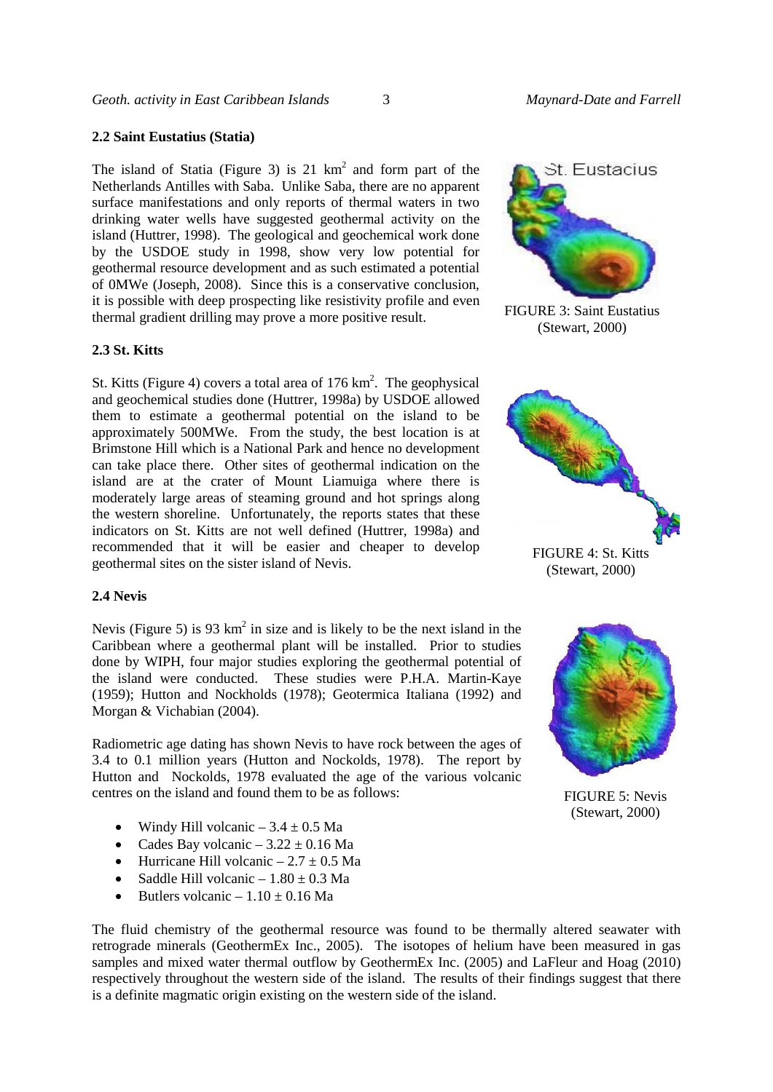#### **2.2 Saint Eustatius (Statia)**

The island of Statia (Figure 3) is  $21 \text{ km}^2$  and form part of the Netherlands Antilles with Saba. Unlike Saba, there are no apparent surface manifestations and only reports of thermal waters in two drinking water wells have suggested geothermal activity on the island (Huttrer, 1998). The geological and geochemical work done by the USDOE study in 1998, show very low potential for geothermal resource development and as such estimated a potential of 0MWe (Joseph, 2008). Since this is a conservative conclusion, it is possible with deep prospecting like resistivity profile and even thermal gradient drilling may prove a more positive result.

### **2.3 St. Kitts**

St. Kitts (Figure 4) covers a total area of  $176 \text{ km}^2$ . The geophysical and geochemical studies done (Huttrer, 1998a) by USDOE allowed them to estimate a geothermal potential on the island to be approximately 500MWe. From the study, the best location is at Brimstone Hill which is a National Park and hence no development can take place there. Other sites of geothermal indication on the island are at the crater of Mount Liamuiga where there is moderately large areas of steaming ground and hot springs along the western shoreline. Unfortunately, the reports states that these indicators on St. Kitts are not well defined (Huttrer, 1998a) and recommended that it will be easier and cheaper to develop geothermal sites on the sister island of Nevis.



FIGURE 3: Saint Eustatius (Stewart, 2000)



#### **2.4 Nevis**

Nevis (Figure 5) is 93  $km^2$  in size and is likely to be the next island in the Caribbean where a geothermal plant will be installed. Prior to studies done by WIPH, four major studies exploring the geothermal potential of the island were conducted. These studies were P.H.A. Martin-Kaye (1959); Hutton and Nockholds (1978); Geotermica Italiana (1992) and Morgan & Vichabian (2004).

Radiometric age dating has shown Nevis to have rock between the ages of 3.4 to 0.1 million years (Hutton and Nockolds, 1978). The report by Hutton and Nockolds, 1978 evaluated the age of the various volcanic centres on the island and found them to be as follows:

- Windy Hill volcanic  $-3.4 \pm 0.5$  Ma
- Cades Bay volcanic  $-3.22 \pm 0.16$  Ma
- Hurricane Hill volcanic  $-2.7 \pm 0.5$  Ma
- Saddle Hill volcanic  $-1.80 \pm 0.3$  Ma
- Butlers volcanic  $-1.10 \pm 0.16$  Ma

The fluid chemistry of the geothermal resource was found to be thermally altered seawater with retrograde minerals (GeothermEx Inc., 2005). The isotopes of helium have been measured in gas samples and mixed water thermal outflow by GeothermEx Inc. (2005) and LaFleur and Hoag (2010) respectively throughout the western side of the island. The results of their findings suggest that there is a definite magmatic origin existing on the western side of the island.



FIGURE 5: Nevis (Stewart, 2000)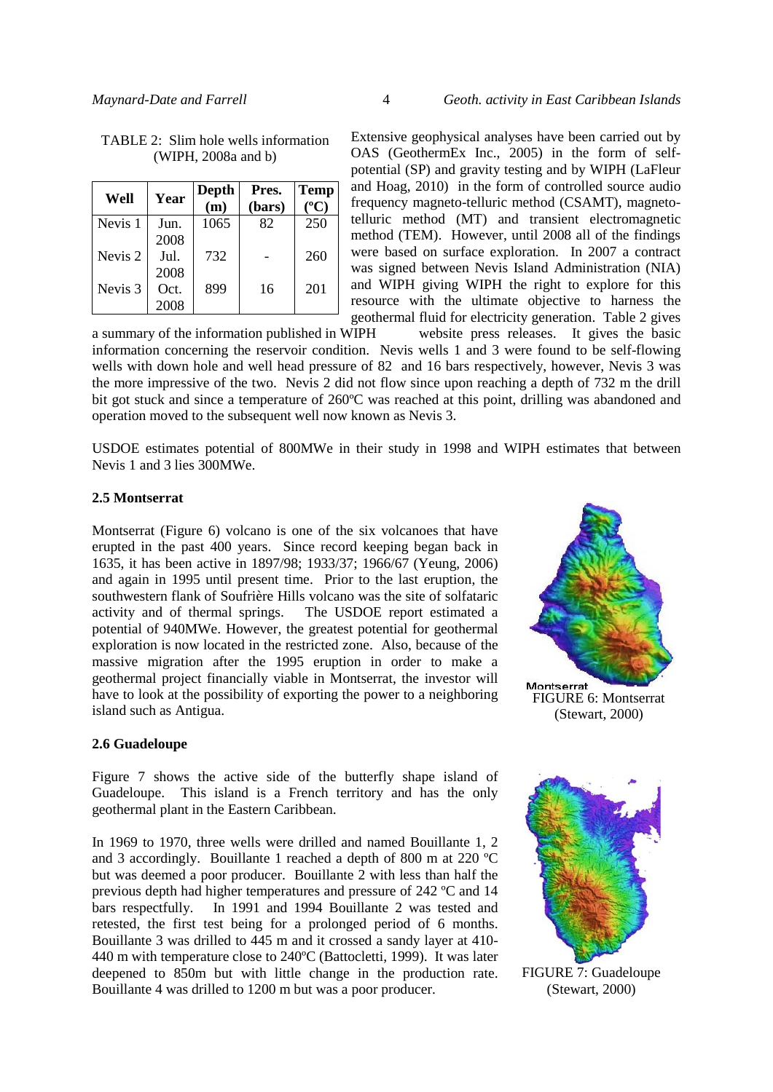| Well               | Year         | Depth<br>(m) | Pres.<br>(bars) | <b>Temp</b><br>$\rm ^{o}C$ |
|--------------------|--------------|--------------|-----------------|----------------------------|
| Nevis <sub>1</sub> | Jun.<br>2008 | 1065         | 82              | 250                        |
| Nevis <sub>2</sub> | Jul.         | 732          |                 | 260                        |
| Nevis <sub>3</sub> | 2008<br>Oct. | 899          | 16              | 201                        |
|                    | 2008         |              |                 |                            |

| TABLE 2: Slim hole wells information |  |                     |  |
|--------------------------------------|--|---------------------|--|
|                                      |  | (WIPH, 2008a and b) |  |

Extensive geophysical analyses have been carried out by OAS (GeothermEx Inc., 2005) in the form of selfpotential (SP) and gravity testing and by WIPH (LaFleur and Hoag, 2010) in the form of controlled source audio frequency magneto-telluric method (CSAMT), magnetotelluric method (MT) and transient electromagnetic method (TEM). However, until 2008 all of the findings were based on surface exploration. In 2007 a contract was signed between Nevis Island Administration (NIA) and WIPH giving WIPH the right to explore for this resource with the ultimate objective to harness the geothermal fluid for electricity generation. Table 2 gives<br>VIPH website press releases. It gives the basic

a summary of the information published in WIPH information concerning the reservoir condition. Nevis wells 1 and 3 were found to be self-flowing wells with down hole and well head pressure of 82 and 16 bars respectively, however, Nevis 3 was the more impressive of the two. Nevis 2 did not flow since upon reaching a depth of 732 m the drill bit got stuck and since a temperature of 260ºC was reached at this point, drilling was abandoned and operation moved to the subsequent well now known as Nevis 3.

USDOE estimates potential of 800MWe in their study in 1998 and WIPH estimates that between Nevis 1 and 3 lies 300MWe.

## **2.5 Montserrat**

Montserrat (Figure 6) volcano is one of the six volcanoes that have erupted in the past 400 years. Since record keeping began back in 1635, it has been active in 1897/98; 1933/37; 1966/67 (Yeung, 2006) and again in 1995 until present time. Prior to the last eruption, the southwestern flank of Soufrière Hills volcano was the site of solfataric activity and of thermal springs. The USDOE report estimated a potential of 940MWe. However, the greatest potential for geothermal exploration is now located in the restricted zone. Also, because of the massive migration after the 1995 eruption in order to make a geothermal project financially viable in Montserrat, the investor will have to look at the possibility of exporting the power to a neighboring island such as Antigua.



# **2.6 Guadeloupe**

Figure 7 shows the active side of the butterfly shape island of Guadeloupe. This island is a French territory and has the only geothermal plant in the Eastern Caribbean.

In 1969 to 1970, three wells were drilled and named Bouillante 1, 2 and 3 accordingly. Bouillante 1 reached a depth of 800 m at 220 ºC but was deemed a poor producer. Bouillante 2 with less than half the previous depth had higher temperatures and pressure of 242 ºC and 14 bars respectfully. In 1991 and 1994 Bouillante 2 was tested and retested, the first test being for a prolonged period of 6 months. Bouillante 3 was drilled to 445 m and it crossed a sandy layer at 410- 440 m with temperature close to 240ºC (Battocletti, 1999). It was later deepened to 850m but with little change in the production rate. Bouillante 4 was drilled to 1200 m but was a poor producer.

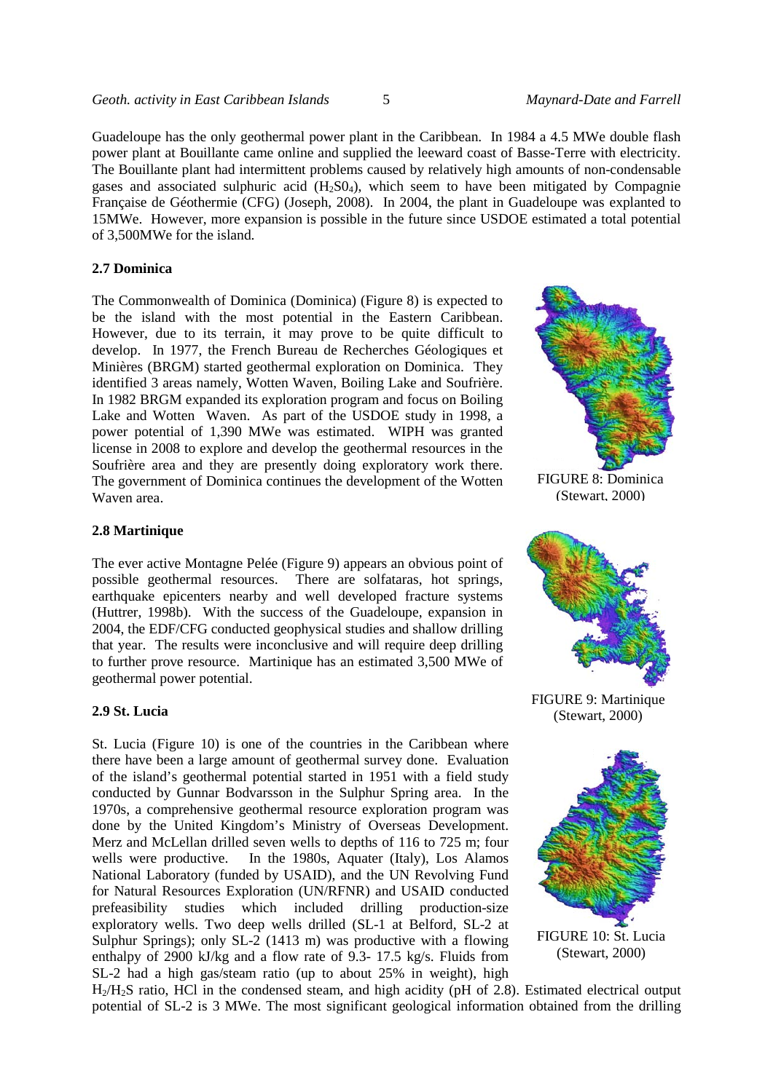Guadeloupe has the only geothermal power plant in the Caribbean. In 1984 a 4.5 MWe double flash power plant at Bouillante came online and supplied the leeward coast of Basse-Terre with electricity. The Bouillante plant had intermittent problems caused by relatively high amounts of non-condensable gases and associated sulphuric acid  $(H_2SO_4)$ , which seem to have been mitigated by Compagnie Française de Géothermie (CFG) (Joseph, 2008). In 2004, the plant in Guadeloupe was explanted to 15MWe. However, more expansion is possible in the future since USDOE estimated a total potential of 3,500MWe for the island.

#### **2.7 Dominica**

The Commonwealth of Dominica (Dominica) (Figure 8) is expected to be the island with the most potential in the Eastern Caribbean. However, due to its terrain, it may prove to be quite difficult to develop. In 1977, the French Bureau de Recherches Géologiques et Minières (BRGM) started geothermal exploration on Dominica. They identified 3 areas namely, Wotten Waven, Boiling Lake and Soufrière. In 1982 BRGM expanded its exploration program and focus on Boiling Lake and Wotten Waven. As part of the USDOE study in 1998, a power potential of 1,390 MWe was estimated. WIPH was granted license in 2008 to explore and develop the geothermal resources in the Soufrière area and they are presently doing exploratory work there. The government of Dominica continues the development of the Wotten Waven area.



FIGURE 8: Dominica (Stewart, 2000)

## **2.8 Martinique**

The ever active Montagne Pelée (Figure 9) appears an obvious point of possible geothermal resources. There are solfataras, hot springs, earthquake epicenters nearby and well developed fracture systems (Huttrer, 1998b). With the success of the Guadeloupe, expansion in 2004, the EDF/CFG conducted geophysical studies and shallow drilling that year. The results were inconclusive and will require deep drilling to further prove resource. Martinique has an estimated 3,500 MWe of geothermal power potential.

#### **2.9 St. Lucia**

St. Lucia (Figure 10) is one of the countries in the Caribbean where there have been a large amount of geothermal survey done. Evaluation of the island's geothermal potential started in 1951 with a field study conducted by Gunnar Bodvarsson in the Sulphur Spring area. In the 1970s, a comprehensive geothermal resource exploration program was done by the United Kingdom's Ministry of Overseas Development. Merz and McLellan drilled seven wells to depths of 116 to 725 m; four wells were productive. In the 1980s, Aquater (Italy), Los Alamos National Laboratory (funded by USAID), and the UN Revolving Fund for Natural Resources Exploration (UN/RFNR) and USAID conducted prefeasibility studies which included drilling production-size exploratory wells. Two deep wells drilled (SL-1 at Belford, SL-2 at Sulphur Springs); only SL-2 (1413 m) was productive with a flowing enthalpy of 2900 kJ/kg and a flow rate of 9.3- 17.5 kg/s. Fluids from SL-2 had a high gas/steam ratio (up to about 25% in weight), high



FIGURE 9: Martinique (Stewart, 2000)



(Stewart, 2000)

H2/H2S ratio, HCl in the condensed steam, and high acidity (pH of 2.8). Estimated electrical output potential of SL-2 is 3 MWe. The most significant geological information obtained from the drilling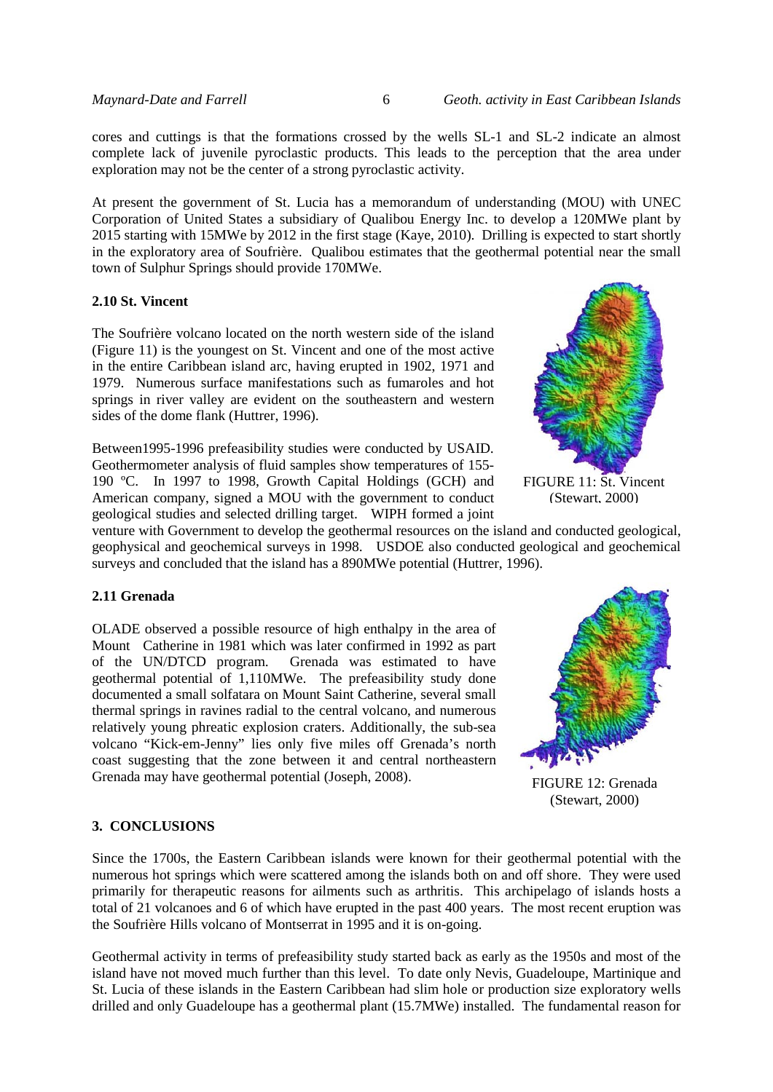cores and cuttings is that the formations crossed by the wells SL-1 and SL-2 indicate an almost complete lack of juvenile pyroclastic products. This leads to the perception that the area under exploration may not be the center of a strong pyroclastic activity.

At present the government of St. Lucia has a memorandum of understanding (MOU) with UNEC Corporation of United States a subsidiary of Qualibou Energy Inc. to develop a 120MWe plant by 2015 starting with 15MWe by 2012 in the first stage (Kaye, 2010). Drilling is expected to start shortly in the exploratory area of Soufrière. Qualibou estimates that the geothermal potential near the small town of Sulphur Springs should provide 170MWe.

### **2.10 St. Vincent**

The Soufrière volcano located on the north western side of the island (Figure 11) is the youngest on St. Vincent and one of the most active in the entire Caribbean island arc, having erupted in 1902, 1971 and 1979. Numerous surface manifestations such as fumaroles and hot springs in river valley are evident on the southeastern and western sides of the dome flank (Huttrer, 1996).

Between1995-1996 prefeasibility studies were conducted by USAID. Geothermometer analysis of fluid samples show temperatures of 155- 190 ºC. In 1997 to 1998, Growth Capital Holdings (GCH) and American company, signed a MOU with the government to conduct geological studies and selected drilling target. WIPH formed a joint



FIGURE 11: St. Vincent (Stewart, 2000)

venture with Government to develop the geothermal resources on the island and conducted geological, geophysical and geochemical surveys in 1998. USDOE also conducted geological and geochemical surveys and concluded that the island has a 890MWe potential (Huttrer, 1996).

## **2.11 Grenada**

OLADE observed a possible resource of high enthalpy in the area of Mount Catherine in 1981 which was later confirmed in 1992 as part of the UN/DTCD program. Grenada was estimated to have geothermal potential of 1,110MWe. The prefeasibility study done documented a small solfatara on Mount Saint Catherine, several small thermal springs in ravines radial to the central volcano, and numerous relatively young phreatic explosion craters. Additionally, the sub-sea volcano "Kick-em-Jenny" lies only five miles off Grenada's north coast suggesting that the zone between it and central northeastern Grenada may have geothermal potential (Joseph, 2008).



FIGURE 12: Grenada (Stewart, 2000)

### **3. CONCLUSIONS**

Since the 1700s, the Eastern Caribbean islands were known for their geothermal potential with the numerous hot springs which were scattered among the islands both on and off shore. They were used primarily for therapeutic reasons for ailments such as arthritis. This archipelago of islands hosts a total of 21 volcanoes and 6 of which have erupted in the past 400 years. The most recent eruption was the Soufrière Hills volcano of Montserrat in 1995 and it is on-going.

Geothermal activity in terms of prefeasibility study started back as early as the 1950s and most of the island have not moved much further than this level. To date only Nevis, Guadeloupe, Martinique and St. Lucia of these islands in the Eastern Caribbean had slim hole or production size exploratory wells drilled and only Guadeloupe has a geothermal plant (15.7MWe) installed. The fundamental reason for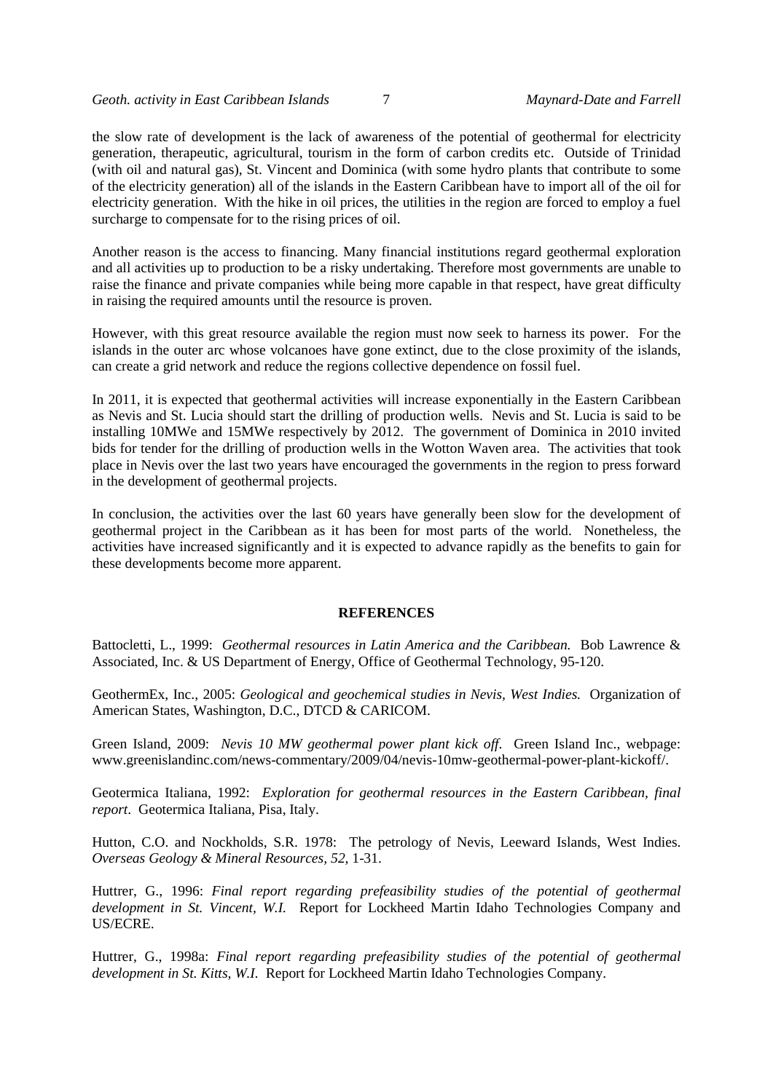the slow rate of development is the lack of awareness of the potential of geothermal for electricity generation, therapeutic, agricultural, tourism in the form of carbon credits etc. Outside of Trinidad (with oil and natural gas), St. Vincent and Dominica (with some hydro plants that contribute to some of the electricity generation) all of the islands in the Eastern Caribbean have to import all of the oil for electricity generation. With the hike in oil prices, the utilities in the region are forced to employ a fuel surcharge to compensate for to the rising prices of oil.

Another reason is the access to financing. Many financial institutions regard geothermal exploration and all activities up to production to be a risky undertaking. Therefore most governments are unable to raise the finance and private companies while being more capable in that respect, have great difficulty in raising the required amounts until the resource is proven.

However, with this great resource available the region must now seek to harness its power. For the islands in the outer arc whose volcanoes have gone extinct, due to the close proximity of the islands, can create a grid network and reduce the regions collective dependence on fossil fuel.

In 2011, it is expected that geothermal activities will increase exponentially in the Eastern Caribbean as Nevis and St. Lucia should start the drilling of production wells. Nevis and St. Lucia is said to be installing 10MWe and 15MWe respectively by 2012. The government of Dominica in 2010 invited bids for tender for the drilling of production wells in the Wotton Waven area. The activities that took place in Nevis over the last two years have encouraged the governments in the region to press forward in the development of geothermal projects.

In conclusion, the activities over the last 60 years have generally been slow for the development of geothermal project in the Caribbean as it has been for most parts of the world. Nonetheless, the activities have increased significantly and it is expected to advance rapidly as the benefits to gain for these developments become more apparent.

### **REFERENCES**

Battocletti, L., 1999: *Geothermal resources in Latin America and the Caribbean.* Bob Lawrence & Associated, Inc. & US Department of Energy, Office of Geothermal Technology, 95-120.

GeothermEx, Inc., 2005: *Geological and geochemical studies in Nevis, West Indies.* Organization of American States, Washington, D.C., DTCD & CARICOM.

Green Island, 2009: *Nevis 10 MW geothermal power plant kick off*. Green Island Inc., webpage: [www.greenislandinc.com/news-commentary/2009/04/nevis-10mw-geothermal-power-plant-kickoff/.](http://www.greenislandinc.com/news-commentary/2009/04/nevis-10mw-geothermal-power-plant-kickoff/)

Geotermica Italiana, 1992: *Exploration for geothermal resources in the Eastern Caribbean, final report*. Geotermica Italiana, Pisa, Italy.

Hutton, C.O. and Nockholds, S.R. 1978: The petrology of Nevis, Leeward Islands, West Indies. *Overseas Geology & Mineral Resources, 52*, 1-31.

Huttrer, G., 1996: *Final report regarding prefeasibility studies of the potential of geothermal development in St. Vincent, W.I.* Report for Lockheed Martin Idaho Technologies Company and US/ECRE.

Huttrer, G., 1998a: *Final report regarding prefeasibility studies of the potential of geothermal development in St. Kitts, W.I.* Report for Lockheed Martin Idaho Technologies Company.